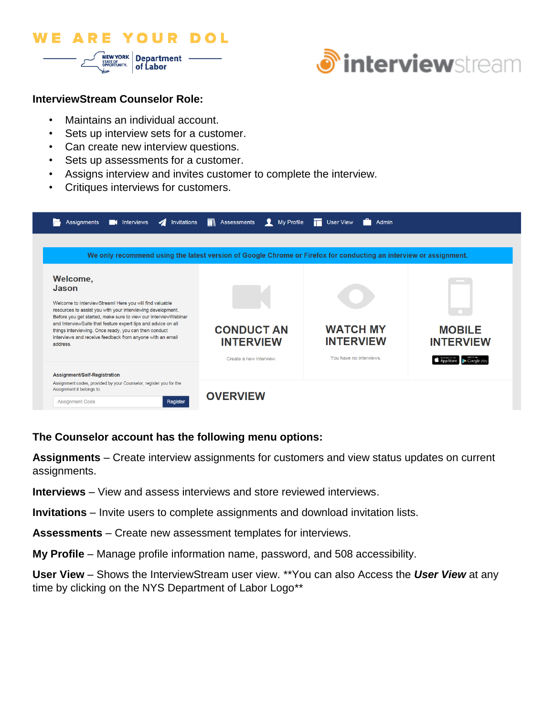



#### **InterviewStream Counselor Role:**

- Maintains an individual account.
- Sets up interview sets for a customer.
- Can create new interview questions.
- Sets up assessments for a customer.
- Assigns interview and invites customer to complete the interview.
- Critiques interviews for customers.

| Invitations<br>$\boldsymbol{\Lambda}$<br>Assignments<br><b>K</b> Interviews<br>We only recommend using the latest version of Google Chrome or Firefox for conducting an interview or assignment.                                                                                                                                                                                                                  | <b>THE Assessments</b> My Profile          | <b>THE User View</b><br>Admin       |                                                 |
|-------------------------------------------------------------------------------------------------------------------------------------------------------------------------------------------------------------------------------------------------------------------------------------------------------------------------------------------------------------------------------------------------------------------|--------------------------------------------|-------------------------------------|-------------------------------------------------|
| Welcome,<br>Jason<br>Welcome to InterviewStream! Here you will find valuable<br>resources to assist you with your interviewing development.<br>Before you get started, make sure to view our Interview/Webinar<br>and InterviewSuite that feature expert tips and advice on all<br>things interviewing. Once ready, you can then conduct<br>interviews and receive feedback from anyone with an email<br>address. | <b>CONDUCT AN</b><br><b>INTERVIEW</b>      | <b>WATCH MY</b><br><b>INTERVIEW</b> | <b>MOBILE</b><br><b>INTERVIEW</b>               |
| Assignment/Self-Registration<br>Assignment codes, provided by your Counselor, register you for the<br>Assignment it belongs to.<br><b>Assignment Code</b><br>Register                                                                                                                                                                                                                                             | Create a new interview.<br><b>OVERVIEW</b> | You have no interviews.             | <b>App Store</b><br>$\triangleright$ Google pla |

## **The Counselor account has the following menu options:**

**Assignments** – Create interview assignments for customers and view status updates on current assignments.

- **Interviews** View and assess interviews and store reviewed interviews.
- **Invitations** Invite users to complete assignments and download invitation lists.
- **Assessments**  Create new assessment templates for interviews.
- **My Profile** Manage profile information name, password, and 508 accessibility.

**User View** – Shows the InterviewStream user view. \*\*You can also Access the *User View* at any time by clicking on the NYS Department of Labor Logo\*\*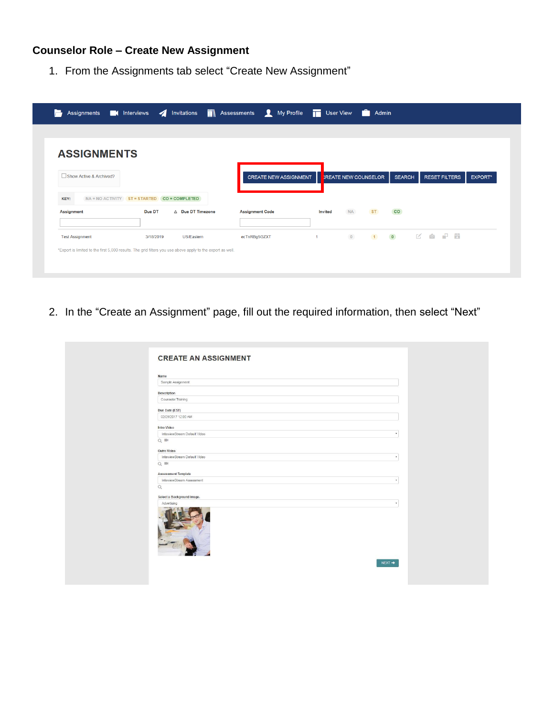# **Counselor Role – Create New Assignment**

1. From the Assignments tab select "Create New Assignment"

| <b>ASSIGNMENTS</b>      |                                                        |                   |                              |                      |                             |               |                      |                |
|-------------------------|--------------------------------------------------------|-------------------|------------------------------|----------------------|-----------------------------|---------------|----------------------|----------------|
| Show Active & Archived? |                                                        |                   | <b>CREATE NEW ASSIGNMENT</b> |                      | <b>CREATE NEW COUNSELOR</b> | <b>SEARCH</b> | <b>RESET FILTERS</b> | <b>EXPORT*</b> |
|                         |                                                        |                   |                              |                      |                             |               |                      |                |
| KEY:<br>Assignment      | NA = NO ACTIVITY ST = STARTED CO = COMPLETED<br>Due DT | △ Due DT Timezone | <b>Assignment Code</b>       | <b>Invited</b>       | <b>NA</b><br><b>ST</b>      | <b>CO</b>     |                      |                |
|                         |                                                        |                   |                              |                      |                             |               |                      |                |
|                         |                                                        |                   | ecTnRBg5GZXT                 | $\blacktriangleleft$ | $\bullet$                   |               | 10 区 空 日             |                |

2. In the "Create an Assignment" page, fill out the required information, then select "Next"

| Name                                        |              |
|---------------------------------------------|--------------|
| Sample Assignment                           |              |
| <b>Description</b>                          |              |
| Counselor Training                          |              |
| Due Date (EST)                              |              |
| 02/28/2017 12:00 AM                         |              |
| Intro Video                                 |              |
| InterviewStream Default Video               | $\star$      |
| $Q \equiv$                                  |              |
|                                             |              |
| Outro Video                                 |              |
| InterviewStream Default Video<br>$Q \equiv$ | $\pi$        |
|                                             |              |
| <b>Assessment Template</b>                  |              |
| InterviewStream Assessment                  | $_{\rm w}$   |
| $\mathsf{Q}$                                |              |
| Select a Background Image.                  |              |
| Advertising                                 | $\pmb{\tau}$ |
|                                             |              |
|                                             | NEXT +       |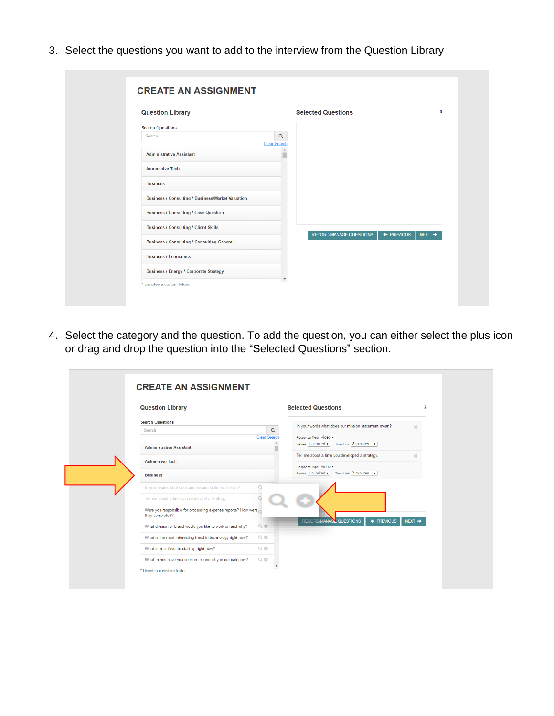3. Select the questions you want to add to the interview from the Question Library

| <b>Question Library</b>                                | <b>Selected Questions</b>                                          |
|--------------------------------------------------------|--------------------------------------------------------------------|
| <b>Search Questions</b><br>$\alpha$<br>Search          |                                                                    |
| <b>Clear Search</b><br><b>Administrative Assistant</b> |                                                                    |
| <b>Automotive Tech</b>                                 |                                                                    |
| <b>Business</b>                                        |                                                                    |
| Business / Consulting / Business/Market Valuation      |                                                                    |
| <b>Business / Consulting / Case Question</b>           |                                                                    |
| <b>Business / Consulting / Client Skills</b>           |                                                                    |
| <b>Business / Consulting / Consulting General</b>      | $\leftarrow$ PREVIOUS<br><b>RECORD/MANAGE QUESTIONS</b><br>$NET +$ |
| <b>Business / Economics</b>                            |                                                                    |
| <b>Business / Energy / Corporate Strategy</b>          |                                                                    |

4. Select the category and the question. To add the question, you can either select the plus icon or drag and drop the question into the "Selected Questions" section.

| <b>Question Library</b>                                                          |                     | <b>Selected Questions</b>                                               |                   |
|----------------------------------------------------------------------------------|---------------------|-------------------------------------------------------------------------|-------------------|
| <b>Search Questions</b><br>Search                                                | $\alpha$            | In your words what does our mission statement mean?                     | $2\mathcal{E}$    |
|                                                                                  | <b>Clear Search</b> | Response Type Video                                                     |                   |
| <b>Administrative Assistant</b>                                                  |                     | Retries Unlimited<br>Time Limit 2 minutes v                             |                   |
| <b>Automotive Tech</b>                                                           |                     | Tell me about a time you developed a strategy.<br>Response Type Video v | 20 <sup>2</sup>   |
| <b>Business</b>                                                                  |                     | Retries Unlimited<br>Time Limit 2 minutes v                             |                   |
| In your words what does our mission statement mean?                              | Q                   |                                                                         |                   |
| Tell me about a time you developed a strategy.                                   |                     |                                                                         |                   |
| Were you responsible for processing expense reports? How were<br>they completed? |                     |                                                                         |                   |
| What division or brand would you like to work on and why?                        | $Q$ $Q$             | RECORD/MANAGE QUESTIONS<br>$\leftarrow$ PREMOUS                         | $NET \rightarrow$ |
| What is the most interesting trend in technology right now?                      | Q                   |                                                                         |                   |
| What is your favorite start up right now?                                        | Q                   |                                                                         |                   |
| What trends have you seen in the industry in our category?                       | Q                   |                                                                         |                   |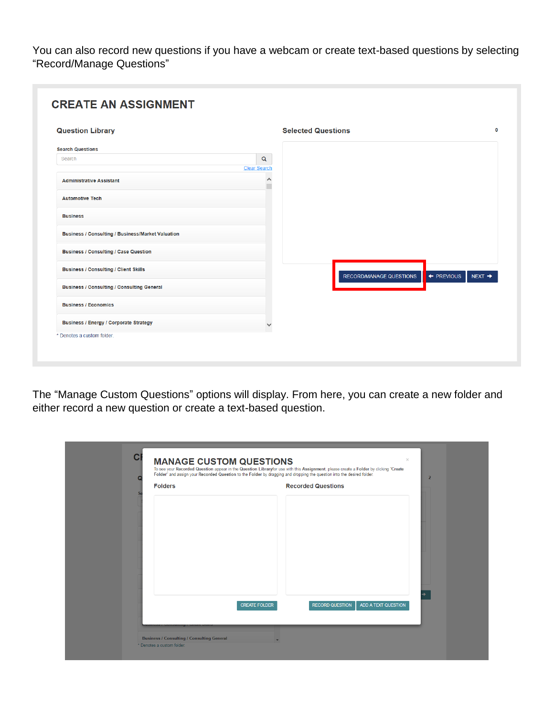You can also record new questions if you have a webcam or create text-based questions by selecting "Record/Manage Questions"

| <b>Question Library</b>                                  |                                           | <b>Selected Questions</b>             | $\mathbf 0$ |
|----------------------------------------------------------|-------------------------------------------|---------------------------------------|-------------|
| <b>Search Questions</b>                                  |                                           |                                       |             |
| Search                                                   | $\alpha$                                  |                                       |             |
| <b>Administrative Assistant</b>                          | <b>Clear Search</b><br>$\curvearrowright$ |                                       |             |
| <b>Automotive Tech</b>                                   |                                           |                                       |             |
| <b>Business</b>                                          |                                           |                                       |             |
| <b>Business / Consulting / Business/Market Valuation</b> |                                           |                                       |             |
| <b>Business / Consulting / Case Question</b>             |                                           |                                       |             |
| <b>Business / Consulting / Client Skills</b>             |                                           | RECORD/MANAGE QUESTIONS<br>← PREVIOUS | NEXT        |
| <b>Business / Consulting / Consulting General</b>        |                                           |                                       |             |
| <b>Business / Economics</b>                              |                                           |                                       |             |
| <b>Business / Energy / Corporate Strategy</b>            |                                           |                                       |             |

The "Manage Custom Questions" options will display. From here, you can create a new folder and either record a new question or create a text-based question.

| г<br><b>Folders</b> |                      | <b>Recorded Questions</b> | $\overline{2}$      |
|---------------------|----------------------|---------------------------|---------------------|
|                     |                      |                           |                     |
|                     |                      |                           |                     |
|                     |                      |                           |                     |
|                     |                      |                           |                     |
|                     |                      |                           |                     |
|                     |                      |                           |                     |
|                     |                      |                           |                     |
|                     |                      |                           |                     |
|                     | <b>CREATE FOLDER</b> | <b>RECORD QUESTION</b>    | ADD A TEXT QUESTION |
|                     |                      |                           |                     |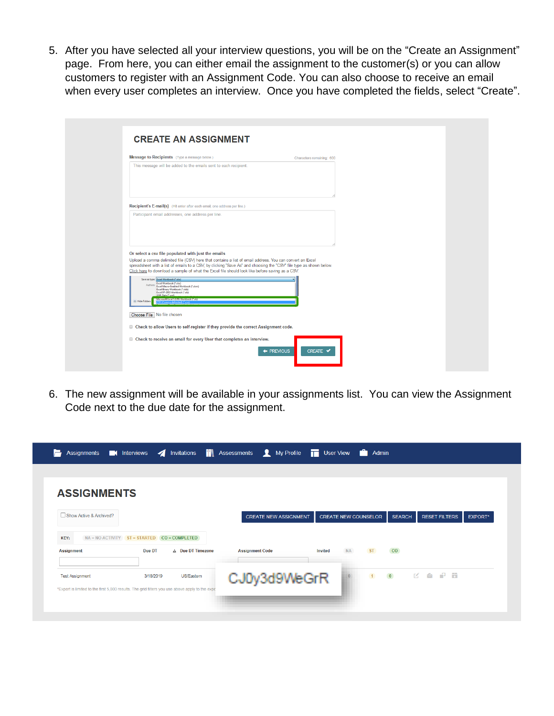5. After you have selected all your interview questions, you will be on the "Create an Assignment" page. From here, you can either email the assignment to the customer(s) or you can allow customers to register with an Assignment Code. You can also choose to receive an email when every user completes an interview. Once you have completed the fields, select "Create".

| Message to Recipients (Type a message below.)                                                                                                                                                                                                                                                                                                                                                                                                                                                                                                                                                                                                             | Characters remaining: 600 |
|-----------------------------------------------------------------------------------------------------------------------------------------------------------------------------------------------------------------------------------------------------------------------------------------------------------------------------------------------------------------------------------------------------------------------------------------------------------------------------------------------------------------------------------------------------------------------------------------------------------------------------------------------------------|---------------------------|
| This message will be added to the emails sent to each recipient.                                                                                                                                                                                                                                                                                                                                                                                                                                                                                                                                                                                          |                           |
| Recipient's E-mail(s) (Hit enter after each email, one address per line.)                                                                                                                                                                                                                                                                                                                                                                                                                                                                                                                                                                                 |                           |
| Participant email addresses, one address per line.<br>Or select a csv file populated with just the emails<br>Upload a comma delimited file (CSV) here that contains a list of email address. You can convert an Excel<br>spreadsheet with a list of emails to a CSV, by clicking "Save As" and choosing the "CSV" file type as shown below.<br>Click here to download a sample of what the Excel file should look like before saving as a CSV.<br>Save as type: Excel Workbook ("also)<br>Excel Workbook (*.xlsx)<br>Authors: Excel Macro-Enabled Workbook (*.alsm)<br>Excel Binary Workbook ("alsb)<br>Excel 97-2003 Workbook ("ads)<br>XMI Data (" yml) |                           |
| Microsoft Excel SAINS Workbook (*38)<br>Hide Folders                                                                                                                                                                                                                                                                                                                                                                                                                                                                                                                                                                                                      |                           |
| Choose File No file chosen                                                                                                                                                                                                                                                                                                                                                                                                                                                                                                                                                                                                                                |                           |
| Check to allow Users to self-register if they provide the correct Assignment code.                                                                                                                                                                                                                                                                                                                                                                                                                                                                                                                                                                        |                           |
| Check to receive an email for every User that completes an interview.                                                                                                                                                                                                                                                                                                                                                                                                                                                                                                                                                                                     |                           |

6. The new assignment will be available in your assignments list. You can view the Assignment Code next to the due date for the assignment.

| <b>ASSIGNMENTS</b>                                                                                                        |                                 |                   |                        |                              |                |                             |               |                      |                |
|---------------------------------------------------------------------------------------------------------------------------|---------------------------------|-------------------|------------------------|------------------------------|----------------|-----------------------------|---------------|----------------------|----------------|
| Show Active & Archived?                                                                                                   |                                 |                   |                        | <b>CREATE NEW ASSIGNMENT</b> |                | <b>CREATE NEW COUNSELOR</b> | <b>SEARCH</b> | <b>RESET FILTERS</b> | <b>EXPORT*</b> |
| KEY:<br>$NA = NO$ $ACTIVITY$                                                                                              | $ST = STARTED$ $CO = COMPLETED$ |                   |                        |                              |                |                             |               |                      |                |
| <b>Assignment</b>                                                                                                         | Due DT                          | A Due DT Timezone | <b>Assignment Code</b> |                              | <b>Invited</b> | <b>NA</b><br><b>ST</b>      | <b>CO</b>     |                      |                |
| <b>Test Assignment</b><br>*Export is limited to the first 5,000 results. The grid filters you use above apply to the expo | 3/18/2019                       | US/Eastern        |                        | CJ0y3d9WeGrR                 |                | 1                           |               |                      |                |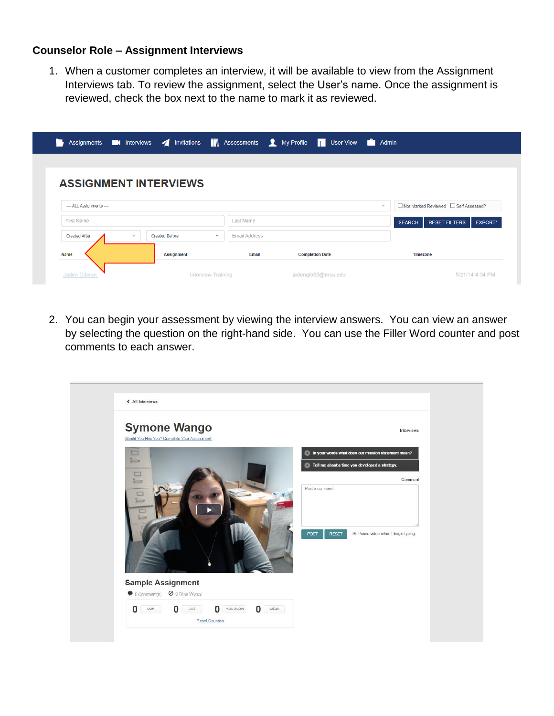### **Counselor Role – Assignment Interviews**

1. When a customer completes an interview, it will be available to view from the Assignment Interviews tab. To review the assignment, select the User's name. Once the assignment is reviewed, check the box next to the name to mark it as reviewed.

| Е                            |              |                       | Assignments <b>and Interviews A</b> Invitations <b>N</b> Assessments <b>Q</b> My Profile <b>To User View Community</b> Admin |                        |               |                                        |                 |
|------------------------------|--------------|-----------------------|------------------------------------------------------------------------------------------------------------------------------|------------------------|---------------|----------------------------------------|-----------------|
|                              |              |                       |                                                                                                                              |                        |               |                                        |                 |
| <b>ASSIGNMENT INTERVIEWS</b> |              |                       |                                                                                                                              |                        |               |                                        |                 |
| --- ALL Assignments ---      |              |                       |                                                                                                                              |                        | $\checkmark$  | □ Not Marked Reviewed □ Self Assessed? |                 |
| <b>First Name</b>            |              |                       | Last Name                                                                                                                    |                        | <b>SEARCH</b> | <b>RESET FILTERS</b>                   | EXPORT*         |
| <b>Created After</b>         | $\checkmark$ | <b>Created Before</b> | <b>Email Address</b><br>$\checkmark$                                                                                         |                        |               |                                        |                 |
| <b>Name</b>                  |              | <b>Assignment</b>     | <b>Fmail</b>                                                                                                                 | <b>Completion Date</b> |               | <b>Timezone</b>                        |                 |
| Jaden Gibsor                 |              |                       | Interview Training                                                                                                           | jadengib93@msu.edu     |               |                                        | 5/21/14 4:34 PM |

2. You can begin your assessment by viewing the interview answers. You can view an answer by selecting the question on the right-hand side. You can use the Filler Word counter and post comments to each answer.

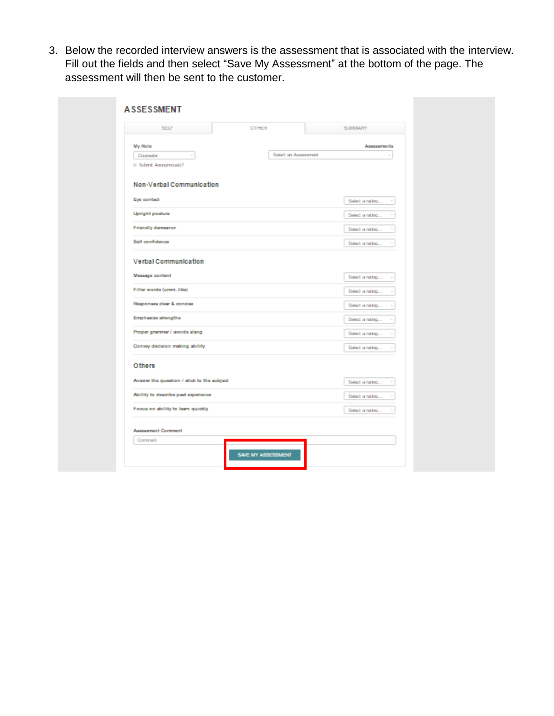3. Below the recorded interview answers is the assessment that is associated with the interview. Fill out the fields and then select "Save My Assessment" at the bottom of the page. The assessment will then be sent to the customer.

| <b>My Role</b><br>Assessments<br>Select an Assessment<br>Coursetor<br>$\boldsymbol{\pi}$<br>Select a rating<br>$\,$<br>Select a rating<br>$\overline{\phantom{a}}$<br>Select a rating<br>$\bar{z}$<br>Select a rating<br>$\sim$<br>Select a rating<br>Select a rating<br>$\alpha$<br>Select a rating<br>Select a rating<br>Select a rating<br>Select a rating<br>$\alpha$<br>Select a rating<br>$\scriptstyle\rm s$<br>Select a rating<br>$\bar{z}$<br>Select a rating<br>$\scriptstyle\rm s$ | OTHER<br><b>SELF</b> | <b>SUMMARY</b> |
|-----------------------------------------------------------------------------------------------------------------------------------------------------------------------------------------------------------------------------------------------------------------------------------------------------------------------------------------------------------------------------------------------------------------------------------------------------------------------------------------------|----------------------|----------------|
|                                                                                                                                                                                                                                                                                                                                                                                                                                                                                               |                      |                |
| II Submit Anonymously?<br>Non-Verbal Communication<br>Eye contact<br>Upright posture<br><b>Friendly demeanor</b><br>Self confidence<br>Verbal Communication<br>Message content<br>Filler words (ummlike)<br>Responses clear & concise<br>Emphasize strengths<br>Proper grammar / avoids slang<br>Convey decision making ability<br>Others                                                                                                                                                     |                      |                |
|                                                                                                                                                                                                                                                                                                                                                                                                                                                                                               |                      |                |
|                                                                                                                                                                                                                                                                                                                                                                                                                                                                                               |                      |                |
|                                                                                                                                                                                                                                                                                                                                                                                                                                                                                               |                      |                |
|                                                                                                                                                                                                                                                                                                                                                                                                                                                                                               |                      |                |
|                                                                                                                                                                                                                                                                                                                                                                                                                                                                                               |                      |                |
|                                                                                                                                                                                                                                                                                                                                                                                                                                                                                               |                      |                |
|                                                                                                                                                                                                                                                                                                                                                                                                                                                                                               |                      |                |
|                                                                                                                                                                                                                                                                                                                                                                                                                                                                                               |                      |                |
|                                                                                                                                                                                                                                                                                                                                                                                                                                                                                               |                      |                |
|                                                                                                                                                                                                                                                                                                                                                                                                                                                                                               |                      |                |
|                                                                                                                                                                                                                                                                                                                                                                                                                                                                                               |                      |                |
|                                                                                                                                                                                                                                                                                                                                                                                                                                                                                               |                      |                |
|                                                                                                                                                                                                                                                                                                                                                                                                                                                                                               |                      |                |
| Answer the question / stick to the subject<br>Ability to describe past experience<br>Focus on ability to learn quickly                                                                                                                                                                                                                                                                                                                                                                        |                      |                |
|                                                                                                                                                                                                                                                                                                                                                                                                                                                                                               |                      |                |
|                                                                                                                                                                                                                                                                                                                                                                                                                                                                                               |                      |                |
|                                                                                                                                                                                                                                                                                                                                                                                                                                                                                               |                      |                |
|                                                                                                                                                                                                                                                                                                                                                                                                                                                                                               |                      |                |
| <b>Assessment Comment</b><br>Comment                                                                                                                                                                                                                                                                                                                                                                                                                                                          |                      |                |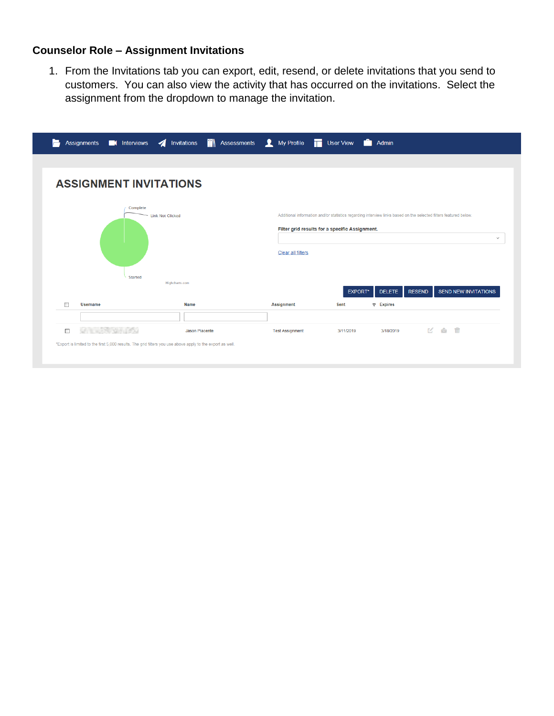## **Counselor Role – Assignment Invitations**

1. From the Invitations tab you can export, edit, resend, or delete invitations that you send to customers. You can also view the activity that has occurred on the invitations. Select the assignment from the dropdown to manage the invitation.

| <b>ASSIGNMENT INVITATIONS</b><br>Complete<br>Additional information and/or statistics regarding interview links based on the selected filters featured below.<br><b>Link Not Clicked</b><br>Filter grid results for a specific Assignment.<br>Clear all filters<br><b>Started</b><br>Highcharts.com<br><b>RESEND</b><br><b>EXPORT*</b><br><b>SEND NEW INVITATIONS</b><br><b>DELETE</b><br><b>Username</b><br><b>Name</b><br><b>Assignment</b><br><b>Sent</b><br>$\nabla$ Expires<br><b>区 约 命</b><br>П<br>3/18/2019<br>3/11/2019<br>Jason Piacente<br><b>Test Assignment</b><br>*Export is limited to the first 5,000 results. The grid filters you use above apply to the export as well. | Assignments <b>of</b> Interviews / Invitations <b>in Assessments</b> My Profile <b>T</b> User View <b>C</b> Admin |  |  |              |
|-------------------------------------------------------------------------------------------------------------------------------------------------------------------------------------------------------------------------------------------------------------------------------------------------------------------------------------------------------------------------------------------------------------------------------------------------------------------------------------------------------------------------------------------------------------------------------------------------------------------------------------------------------------------------------------------|-------------------------------------------------------------------------------------------------------------------|--|--|--------------|
|                                                                                                                                                                                                                                                                                                                                                                                                                                                                                                                                                                                                                                                                                           |                                                                                                                   |  |  |              |
|                                                                                                                                                                                                                                                                                                                                                                                                                                                                                                                                                                                                                                                                                           |                                                                                                                   |  |  |              |
|                                                                                                                                                                                                                                                                                                                                                                                                                                                                                                                                                                                                                                                                                           |                                                                                                                   |  |  |              |
|                                                                                                                                                                                                                                                                                                                                                                                                                                                                                                                                                                                                                                                                                           |                                                                                                                   |  |  |              |
|                                                                                                                                                                                                                                                                                                                                                                                                                                                                                                                                                                                                                                                                                           |                                                                                                                   |  |  |              |
|                                                                                                                                                                                                                                                                                                                                                                                                                                                                                                                                                                                                                                                                                           |                                                                                                                   |  |  | $\checkmark$ |
|                                                                                                                                                                                                                                                                                                                                                                                                                                                                                                                                                                                                                                                                                           |                                                                                                                   |  |  |              |
|                                                                                                                                                                                                                                                                                                                                                                                                                                                                                                                                                                                                                                                                                           |                                                                                                                   |  |  |              |
|                                                                                                                                                                                                                                                                                                                                                                                                                                                                                                                                                                                                                                                                                           |                                                                                                                   |  |  |              |
|                                                                                                                                                                                                                                                                                                                                                                                                                                                                                                                                                                                                                                                                                           |                                                                                                                   |  |  |              |
|                                                                                                                                                                                                                                                                                                                                                                                                                                                                                                                                                                                                                                                                                           |                                                                                                                   |  |  |              |
|                                                                                                                                                                                                                                                                                                                                                                                                                                                                                                                                                                                                                                                                                           |                                                                                                                   |  |  |              |
|                                                                                                                                                                                                                                                                                                                                                                                                                                                                                                                                                                                                                                                                                           |                                                                                                                   |  |  |              |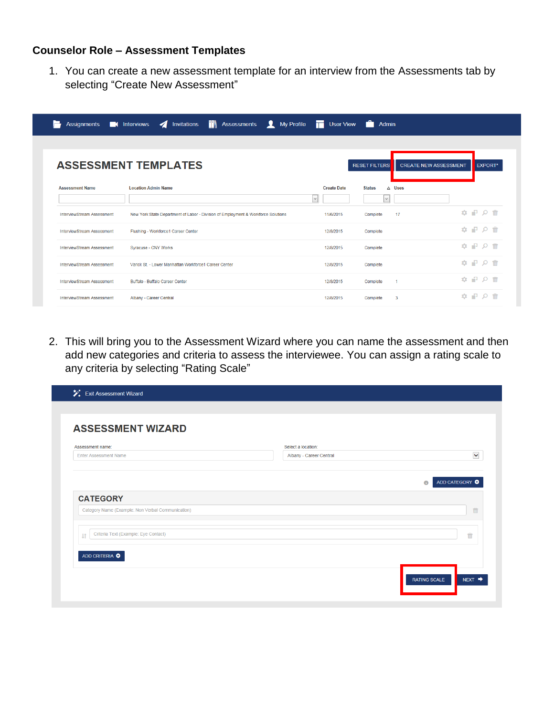## **Counselor Role – Assessment Templates**

1. You can create a new assessment template for an interview from the Assessments tab by selecting "Create New Assessment"

|                            | Assignments <b>on</b> Interviews <b>4</b> Invitations <b>1</b> Assessments <b>1</b> My Profile <b>1</b> User View <b>1</b> Admin |                              |                         |                              |                                                                                                             |  |
|----------------------------|----------------------------------------------------------------------------------------------------------------------------------|------------------------------|-------------------------|------------------------------|-------------------------------------------------------------------------------------------------------------|--|
|                            | <b>ASSESSMENT TEMPLATES</b>                                                                                                      |                              | <b>RESET FILTERS</b>    | <b>CREATE NEW ASSESSMENT</b> | <b>EXPORT*</b>                                                                                              |  |
| <b>Assessment Name</b>     | <b>Location Admin Name</b>                                                                                                       | <b>Create Date</b><br>$\vee$ | <b>Status</b><br>$\vee$ | $\triangle$ Uses             |                                                                                                             |  |
| InterviewStream Assessment | New York State Department of Labor - Division of Employment & Workforce Solutions                                                | 11/6/2015                    | Complete                | 17                           | 命の早の命                                                                                                       |  |
| InterviewStream Assessment | Flushing - Workforce1 Career Center                                                                                              | 12/8/2015                    | Complete                |                              | $\begin{array}{c} \mathbf{a} & \mathbf{b} & \mathbf{c} \\ \mathbf{c} & \mathbf{c} & \mathbf{c} \end{array}$ |  |
| InterviewStream Assessment | Svracuse - CNY Works                                                                                                             | 12/8/2015                    | Complete                |                              | ㅎ 고 ㅇ ㅎ                                                                                                     |  |
| InterviewStream Assessment | Varick St. - Lower Manhattan Workforce1 Career Center                                                                            | 12/8/2015                    | Complete                |                              | $\begin{array}{c} \bullet \quad P \quad \circ \quad \Uparrow \end{array}$                                   |  |
| InterviewStream Assessment | Buffalo - Buffalo Career Center                                                                                                  | 12/8/2015                    | Complete                | -1                           | <b>¢ ₽ Q ₩</b>                                                                                              |  |
| InterviewStream Assessment | Albany - Career Central                                                                                                          | 12/8/2015                    | Complete                | з                            | ㅎ 고 ㅇ ㅎ                                                                                                     |  |

2. This will bring you to the Assessment Wizard where you can name the assessment and then add new categories and criteria to assess the interviewee. You can assign a rating scale to any criteria by selecting "Rating Scale"

| <b>ASSESSMENT WIZARD</b>                          |                                               |                             |
|---------------------------------------------------|-----------------------------------------------|-----------------------------|
| Assessment name:<br><b>Enter Assessment Name</b>  | Select a location:<br>Albany - Career Central | $\checkmark$                |
|                                                   |                                               | ADD CATEGORY O<br>$\bullet$ |
| <b>CATEGORY</b>                                   |                                               |                             |
| Category Name (Example: Non Verbal Communication) |                                               | 意                           |
| Criteria Text (Example: Eye Contact)<br><b>It</b> |                                               | 而                           |
| ADD CRITERIA O                                    |                                               |                             |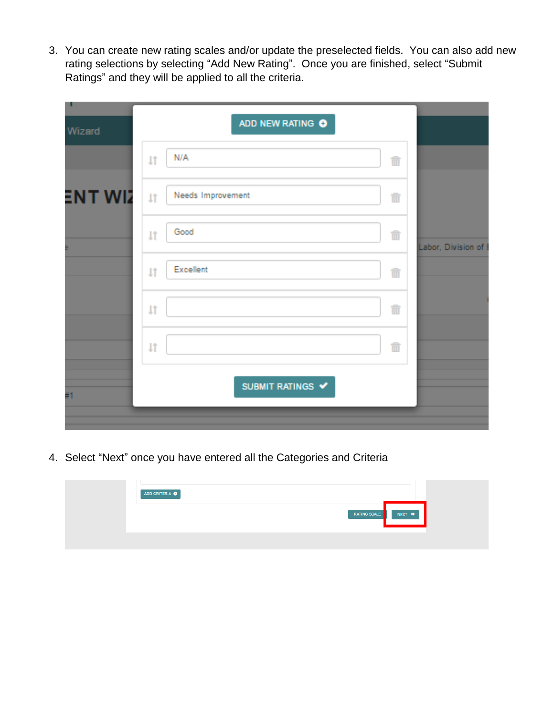3. You can create new rating scales and/or update the preselected fields. You can also add new rating selections by selecting "Add New Rating". Once you are finished, select "Submit Ratings" and they will be applied to all the criteria.

| ٠<br>Wizard | ADD NEW RATING O                       |                    |
|-------------|----------------------------------------|--------------------|
|             | N/A<br>1Ť<br>û                         |                    |
| ENT WIZ     | Needs Improvement<br>$\downarrow$<br>m |                    |
|             | Good<br>û<br><b>LT</b>                 | Labor, Division of |
|             | Excellent<br><b>LT</b><br>Ñ            |                    |
|             | û<br>1Ť                                |                    |
|             | m<br>$\downarrow$                      |                    |
| #1          | SUBMIT RATINGS V                       |                    |
|             |                                        |                    |

4. Select "Next" once you have entered all the Categories and Criteria

| ADD CRITERIA O                       |  |
|--------------------------------------|--|
| RATING SCALE<br>$NEXT$ $\rightarrow$ |  |
|                                      |  |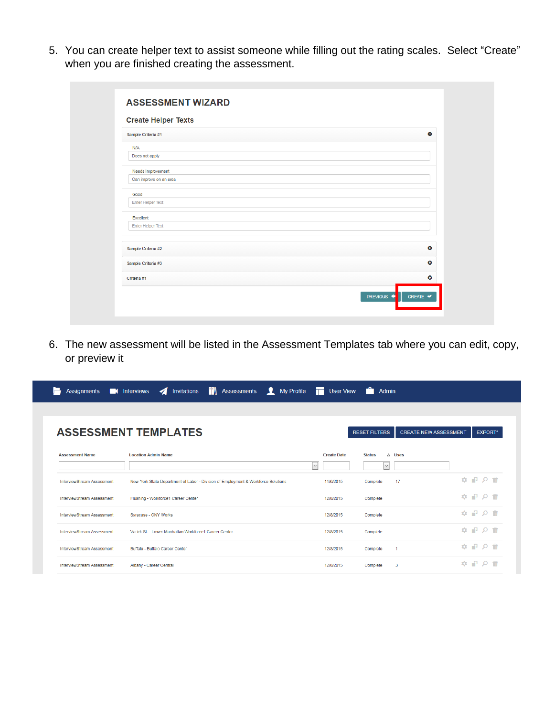5. You can create helper text to assist someone while filling out the rating scales. Select "Create" when you are finished creating the assessment.

| <b>Create Helper Texts</b> |           |
|----------------------------|-----------|
| Sample Criteria #1         | $\bullet$ |
| N/A                        |           |
| Does not apply             |           |
| Needs Improvement          |           |
| Can improve on an area     |           |
| Good                       |           |
| Enter Helper Text          |           |
| Excellent                  |           |
| <b>Enter Helper Text</b>   |           |
|                            |           |
| Sample Criteria #2         | $\bullet$ |
| Sample Criteria #3         | $\bullet$ |
| Criteria #1                | $\bullet$ |

6. The new assessment will be listed in the Assessment Templates tab where you can edit, copy, or preview it

|                            | Assignments <b>and Interviews A</b> Invitations <b>in Assessments A</b> My Profile <b>T</b> User View <b>C</b> |                    | Admin                                       |                              |                                                                    |
|----------------------------|----------------------------------------------------------------------------------------------------------------|--------------------|---------------------------------------------|------------------------------|--------------------------------------------------------------------|
|                            |                                                                                                                |                    |                                             |                              |                                                                    |
|                            | <b>ASSESSMENT TEMPLATES</b>                                                                                    |                    | <b>RESET FILTERS</b>                        | <b>CREATE NEW ASSESSMENT</b> | <b>EXPORT*</b>                                                     |
| <b>Assessment Name</b>     | <b>Location Admin Name</b><br>$\vee$                                                                           | <b>Create Date</b> | $\triangle$ Uses<br><b>Status</b><br>$\vee$ |                              |                                                                    |
| InterviewStream Assessment | New York State Department of Labor - Division of Employment & Workforce Solutions                              | 11/6/2015          | 17<br>Complete                              |                              | $\begin{array}{c} \bullet & \circ \\ \bullet & \circ \end{array}$  |
| InterviewStream Assessment | Flushing - Workforce1 Career Center                                                                            | 12/8/2015          | Complete                                    |                              | ☆ ₽ Ω 命                                                            |
| InterviewStream Assessment | Syracuse - CNY Works                                                                                           | 12/8/2015          | Complete                                    |                              | $\begin{array}{c} \bullet & \circ \\ \bullet & \circ \end{array}$  |
| InterviewStream Assessment | Varick St. - Lower Manhattan Workforce1 Career Center                                                          | 12/8/2015          | Complete                                    |                              | $\begin{array}{c} \bullet & \circ \\ \bullet & \circ \end{array}$  |
| InterviewStream Assessment | <b>Buffalo - Buffalo Career Center</b>                                                                         | 12/8/2015          | Complete<br>$\overline{1}$                  |                              | ☆ ₽ Ω 命                                                            |
| InterviewStream Assessment | Albany - Career Central                                                                                        | 12/8/2015          | 3<br>Complete                               |                              | $\begin{array}{c} \bullet & \bullet & \circ & \bullet \end{array}$ |